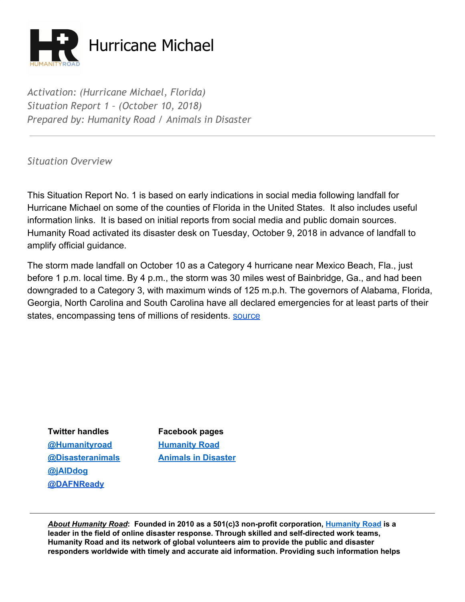

*Activation: (Hurricane Michael, Florida) Situation Report 1 – (October 10, 2018) Prepared by: Humanity Road / Animals in Disaster*

*Situation Overview*

This Situation Report No. 1 is based on early indications in social media following landfall for Hurricane Michael on some of the counties of Florida in the United States. It also includes useful information links. It is based on initial reports from social media and public domain sources. Humanity Road activated its disaster desk on Tuesday, October 9, 2018 in advance of landfall to amplify official guidance.

The storm made landfall on October 10 as a Category 4 hurricane near Mexico Beach, Fla., just before 1 p.m. local time. By 4 p.m., the storm was 30 miles west of Bainbridge, Ga., and had been downgraded to a Category 3, with maximum winds of 125 m.p.h. The governors of Alabama, Florida, Georgia, North Carolina and South Carolina have all declared emergencies for at least parts of their states, encompassing tens of millions of residents. [source](https://www.nytimes.com/2018/10/10/us/hurricane-michael-live-updates-florida.html)

**Twitter handles Facebook pages [@Humanityroad](http://twitter.com/humanityroad) [Humanity](https://www.facebook.com/pages/Humanity-Road/111949498829253?ref=br_tf) Roa[d](https://www.facebook.com/pages/Humanity-Road/111949498829253?ref=br_tf) [@jAIDdog](http://twitter.com/jAIDdog) [@DAFNReady](https://twitter.com/DAFNReady)**

**[@Disasteranimals](http://twitter.com/disasteranimals) Animals in [Disaster](https://www.facebook.com/DisasterAnimals)**

*About Humanity Road***: Founded in 2010 as a 501(c)3 non-profit corporation, [Humanity](http://www.humanityroad.org/AboutUs.htm) Road is a leader in the field of online disaster response. Through skilled and self-directed work teams, Humanity Road and its network of global volunteers aim to provide the public and disaster responders worldwide with timely and accurate aid information. Providing such information helps**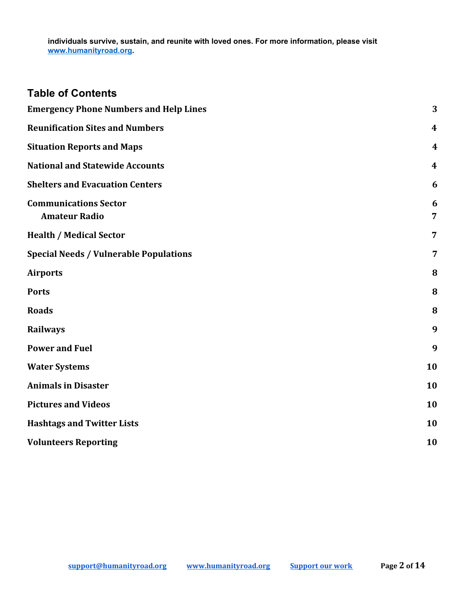#### **individuals survive, sustain, and reunite with loved ones. For more information, please visit [www.humanityroad.org](http://www.humanityroad.org/).**

| <b>Table of Contents</b>                             |                     |
|------------------------------------------------------|---------------------|
| <b>Emergency Phone Numbers and Help Lines</b>        | 3                   |
| <b>Reunification Sites and Numbers</b>               | 4                   |
| <b>Situation Reports and Maps</b>                    | $\boldsymbol{4}$    |
| <b>National and Statewide Accounts</b>               | 4                   |
| <b>Shelters and Evacuation Centers</b>               | 6                   |
| <b>Communications Sector</b><br><b>Amateur Radio</b> | 6<br>$\overline{7}$ |
| <b>Health / Medical Sector</b>                       | $\overline{7}$      |
| <b>Special Needs / Vulnerable Populations</b>        | 7                   |
| <b>Airports</b>                                      | 8                   |
| <b>Ports</b>                                         | 8                   |
| <b>Roads</b>                                         | 8                   |
| <b>Railways</b>                                      | 9                   |
| <b>Power and Fuel</b>                                | 9                   |
| <b>Water Systems</b>                                 | 10                  |
| <b>Animals in Disaster</b>                           | 10                  |
| <b>Pictures and Videos</b>                           | 10                  |
| <b>Hashtags and Twitter Lists</b>                    | 10                  |
| <b>Volunteers Reporting</b>                          | 10                  |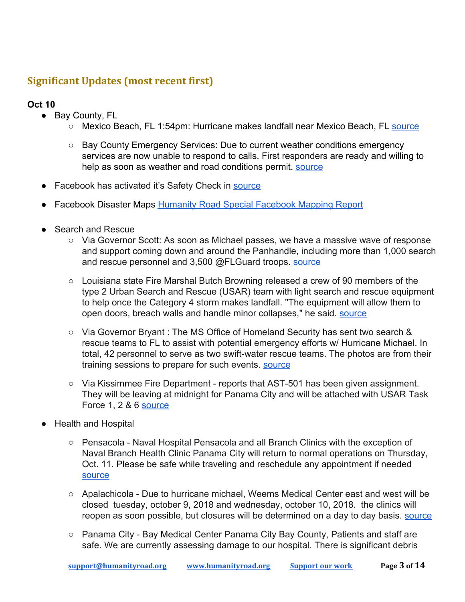# **Significant Updates (most recent first)**

- Bay County, FL
	- Mexico Beach, FL 1:54pm: Hurricane makes landfall near Mexico Beach, FL [source](https://twitter.com/NHC_Atlantic/status/1050078015651241986)
	- Bay County Emergency Services: Due to current weather conditions emergency services are now unable to respond to calls. First responders are ready and willing to help as soon as weather and road conditions permit. [source](https://www.facebook.com/BayCountyFLEmergencyServices/posts/2336799006391080)
- Facebook has activated it's Safety Check in [source](https://www.facebook.com/crisisresponse/panama-city-florida-hurricane-oct10-2018/about/?source=search)
- Facebook Disaster Maps [Humanity Road Special Facebook Mapping Report](https://docs.google.com/document/d/1HD0bACyFTN_c7Qn5dcl6Hn38d_zeE7ncoRSNZmfOlJM/edit#heading=h.nkhqf8lucal5)
- Search and Rescue
	- Via Governor Scott: As soon as Michael passes, we have a massive wave of response and support coming down and around the Panhandle, including more than 1,000 search and rescue personnel and 3,500 @FLGuard troops. [source](https://twitter.com/FLGovScott/status/1050036860649648130)
	- Louisiana state Fire Marshal Butch Browning released a crew of 90 members of the type 2 Urban Search and Rescue (USAR) team with light search and rescue equipment to help once the Category 4 storm makes landfall. "The equipment will allow them to open doors, breach walls and handle minor collapses," he said. [source](https://www.livingstonparishnews.com/news/louisiana-state-fire-marshal-sends-usar-team-to-assist-florida/article_16a2c658-cc8f-11e8-84f2-abaed21df04e.html?utm_medium=social&utm_source=twitter&utm_campaign=user-share)
	- Via Governor Bryant : The MS Office of Homeland Security has sent two search & rescue teams to FL to assist with potential emergency efforts w/ Hurricane Michael. In total, 42 personnel to serve as two swift-water rescue teams. The photos are from their training sessions to prepare for such events. [source](https://twitter.com/PhilBryantMS/status/1049778400745926657)
	- Via Kissimmee Fire Department reports that AST-501 has been given assignment. They will be leaving at midnight for Panama City and will be attached with USAR Task Force 1, 2 & 6 [source](https://twitter.com/KissimmeeFire/status/1050084166094790656)
- Health and Hospital
	- Pensacola Naval Hospital Pensacola and all Branch Clinics with the exception of Naval Branch Health Clinic Panama City will return to normal operations on Thursday, Oct. 11. Please be safe while traveling and reschedule any appointment if needed **[source](https://twitter.com/NAVHOSPPCOLA/status/1050116590430248961)**
	- Apalachicola Due to hurricane michael, Weems Medical Center east and west will be closed tuesday, october 9, 2018 and wednesday, october 10, 2018. the clinics will reopen as soon possible, but closures will be determined on a day to day basis. [source](http://www.weemsmemorial.com/)
	- Panama City Bay Medical Center Panama City Bay County, Patients and staff are safe. We are currently assessing damage to our hospital. There is significant debris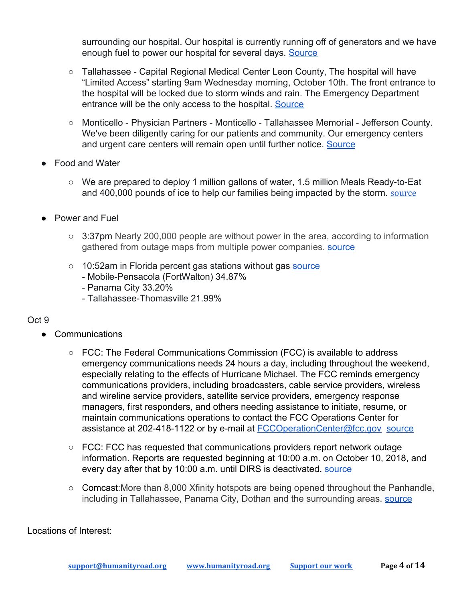surrounding our hospital. Our hospital is currently running off of generators and we have enough fuel to power our hospital for several days. [Source](https://twitter.com/baymedicalctr/status/1050125335528914944)

- Tallahassee Capital Regional Medical Center Leon County, The hospital will have "Limited Access" starting 9am Wednesday morning, October 10th. The front entrance to the hospital will be locked due to storm winds and rain. The Emergency Department entrance will be the only access to the hospital. [Source](https://capitalregionalmedicalcenter.com/health-info/hurricane-preparedness/)
- Monticello Physician Partners Monticello Tallahassee Memorial Jefferson County. We've been diligently caring for our patients and community. Our emergency centers and urgent care centers will remain open until further notice. [Source](https://twitter.com/TMHFORLIFE/status/1049714617826648067)
- **Food and Water** 
	- **○** We are prepared to deploy 1 million gallons of water, 1.5 million Meals Ready-to-Eat and 400,000 pounds of ice to help our families being impacted by the storm. [source](https://twitter.com/FLGovScott/status/1050112839350984710)
- **Power and Fuel** 
	- $\circ$  3:37pm Nearly 200,000 people are without power in the area, according to information gathered from outage maps from multiple power companies. [source](https://www.mypanhandle.com/news/hurricane-michael-power-outages-near-200-000/1513435023)
	- 10:52am in Florida percent gas stations without gas [source](https://t.co/XXBOgtOFIs)
		- Mobile-Pensacola (FortWalton) 34.87%
		- Panama City 33.20%
		- Tallahassee-Thomasville 21.99%

### Oct 9

- Communications
	- FCC: The Federal Communications Commission (FCC) is available to address emergency communications needs 24 hours a day, including throughout the weekend, especially relating to the effects of Hurricane Michael. The FCC reminds emergency communications providers, including broadcasters, cable service providers, wireless and wireline service providers, satellite service providers, emergency response managers, first responders, and others needing assistance to initiate, resume, or maintain communications operations to contact the FCC Operations Center for assistance at 202-418-1122 or by e-mail at [FCCOperationCenter@fcc.gov](mailto:FCCOperationCenter@fcc.gov) [source](https://www.fcc.gov/document/fcc-assistance-hurricane-michael-emergencies-available-247)
	- FCC: FCC has requested that communications providers report network outage information. Reports are requested beginning at 10:00 a.m. on October 10, 2018, and every day after that by 10:00 a.m. until DIRS is deactivated. [source](https://www.fcc.gov/document/fcc-activates-disaster-information-reporting-hurricane-michael)
	- Comcast: More than 8,000 Xfinity hotspots are being opened throughout the Panhandle, including in Tallahassee, Panama City, Dothan and the surrounding areas. [source](https://www.tallahassee.com/story/news/2018/10/09/xfinity-opens-wifi-hotspots-non-customers-ahead-hurricane-michael/1578795002/)

Locations of Interest: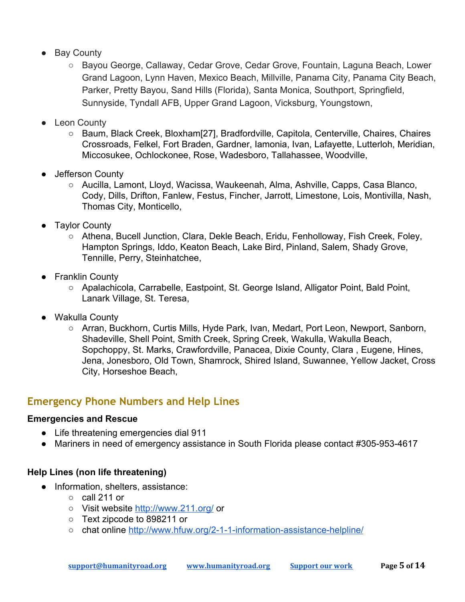- Bay County
	- Bayou George, Callaway, Cedar Grove, Cedar Grove, Fountain, Laguna Beach, Lower Grand Lagoon, Lynn Haven, Mexico Beach, Millville, Panama City, Panama City Beach, Parker, Pretty Bayou, Sand Hills (Florida), Santa Monica, Southport, Springfield, Sunnyside, Tyndall AFB, Upper Grand Lagoon, Vicksburg, Youngstown,
- Leon County
	- Baum, Black Creek, Bloxham[27], Bradfordville, Capitola, Centerville, Chaires, Chaires Crossroads, Felkel, Fort Braden, Gardner, Iamonia, Ivan, Lafayette, Lutterloh, Meridian, Miccosukee, Ochlockonee, Rose, Wadesboro, Tallahassee, Woodville,
- Jefferson County
	- Aucilla, Lamont, Lloyd, Wacissa, Waukeenah, Alma, Ashville, Capps, Casa Blanco, Cody, Dills, Drifton, Fanlew, Festus, Fincher, Jarrott, Limestone, Lois, Montivilla, Nash, Thomas City, Monticello,
- Taylor County
	- Athena, Bucell Junction, Clara, Dekle Beach, Eridu, Fenholloway, Fish Creek, Foley, Hampton Springs, Iddo, Keaton Beach, Lake Bird, Pinland, Salem, Shady Grove, Tennille, Perry, Steinhatchee,
- Franklin County
	- Apalachicola, Carrabelle, Eastpoint, St. George Island, Alligator Point, Bald Point, Lanark Village, St. Teresa,
- Wakulla County
	- Arran, Buckhorn, Curtis Mills, Hyde Park, Ivan, Medart, Port Leon, Newport, Sanborn, Shadeville, Shell Point, Smith Creek, Spring Creek, Wakulla, Wakulla Beach, Sopchoppy, St. Marks, Crawfordville, Panacea, Dixie County, Clara , Eugene, Hines, Jena, Jonesboro, Old Town, Shamrock, Shired Island, Suwannee, Yellow Jacket, Cross City, Horseshoe Beach,

## <span id="page-4-0"></span>**Emergency Phone Numbers and Help Lines**

### **Emergencies and Rescue**

- Life threatening emergencies dial 911
- Mariners in need of emergency assistance in South Florida please contact #305-953-4617

### **Help Lines (non life threatening)**

- Information, shelters, assistance:
	- call 211 or
	- Visit website <http://www.211.org/> or
	- Text zipcode to 898211 or
	- chat online <http://www.hfuw.org/2-1-1-information-assistance-helpline/>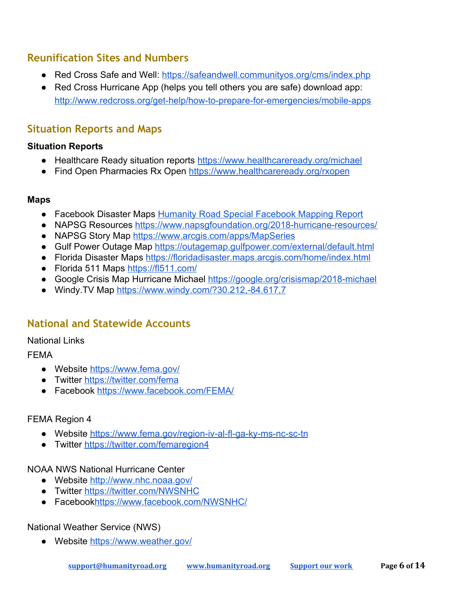## <span id="page-5-0"></span>**Reunification Sites and Numbers**

- Red Cross Safe and Well: <https://safeandwell.communityos.org/cms/index.php>
- Red Cross Hurricane App (helps you tell others you are safe) download app: <http://www.redcross.org/get-help/how-to-prepare-for-emergencies/mobile-apps>

## <span id="page-5-1"></span>**Situation Reports and Maps**

### **Situation Reports**

- Healthcare Ready situation reports <https://www.healthcareready.org/michael>
- Find Open Pharmacies Rx Open <https://www.healthcareready.org/rxopen>

### **Maps**

- Facebook Disaster Maps [Humanity Road Special Facebook Mapping Report](https://docs.google.com/document/d/1HD0bACyFTN_c7Qn5dcl6Hn38d_zeE7ncoRSNZmfOlJM/edit#heading=h.nkhqf8lucal5)
- NAPSG Resources <https://www.napsgfoundation.org/2018-hurricane-resources/>
- NAPSG Story Map [https://www.arcgis.com/apps/MapSeries](https://www.arcgis.com/apps/MapSeries/index.html?appid=61952ebf539f4bf1941a9e24e0bc277b)
- Gulf Power Outage Map <https://outagemap.gulfpower.com/external/default.html>
- Florida Disaster Maps <https://floridadisaster.maps.arcgis.com/home/index.html>
- Florida 511 Maps <https://fl511.com/>
- Google Crisis Map Hurricane Michael <https://google.org/crisismap/2018-michael>
- Windy. TV Map <https://www.windy.com/?30.212,-84.617,7>

## <span id="page-5-2"></span>**National and Statewide Accounts**

### National Links

### FEMA

- Website<https://www.fema.gov/>
- Twitter<https://twitter.com/fema>
- Facebook<https://www.facebook.com/FEMA/>

### FEMA Region 4

- Website<https://www.fema.gov/region-iv-al-fl-ga-ky-ms-nc-sc-tn>
- Twitter<https://twitter.com/femaregion4>

### NOAA NWS National Hurricane Center

- Website<http://www.nhc.noaa.gov/>
- Twitter<https://twitter.com/NWSNHC>
- Faceboo[khttps://www.facebook.com/NWSNHC/](https://www.facebook.com/NWSNHC/)

### National Weather Service (NWS)

● Website<https://www.weather.gov/>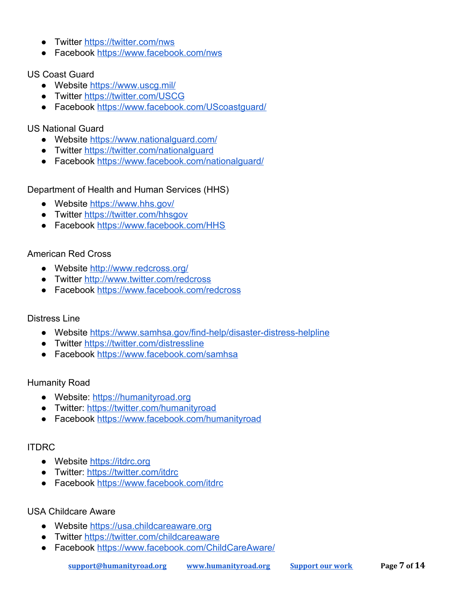- Twitter<https://twitter.com/nws>
- Facebook<https://www.facebook.com/nws>

### US Coast Guard

- Website<https://www.uscg.mil/>
- Twitter<https://twitter.com/USCG>
- Facebook [https://www.facebook.com/UScoastguard/](https://www.facebook.com/UScoastguard/?ref=br_rs)

### US National Guard

- Website<https://www.nationalguard.com/>
- Twitter<https://twitter.com/nationalguard>
- Facebook<https://www.facebook.com/nationalguard/>

Department of Health and Human Services (HHS)

- Website<https://www.hhs.gov/>
- Twitter<https://twitter.com/hhsgov>
- Facebook<https://www.facebook.com/HHS>

### American Red Cross

- Website<http://www.redcross.org/>
- Twitter<http://www.twitter.com/redcross>
- Facebook<https://www.facebook.com/redcross>

### Distress Line

- Website<https://www.samhsa.gov/find-help/disaster-distress-helpline>
- Twitter<https://twitter.com/distressline>
- Facebook<https://www.facebook.com/samhsa>

### Humanity Road

- Website: [https://humanityroad.org](https://humanityroad.org/)
- Twitter: <https://twitter.com/humanityroad>
- Facebook<https://www.facebook.com/humanityroad>

### ITDRC

- Website [https://itdrc.org](https://itdrc.org/)
- Twitter: <https://twitter.com/itdrc>
- Facebook<https://www.facebook.com/itdrc>

### USA Childcare Aware

- Website [https://usa.childcareaware.org](https://usa.childcareaware.org/)
- Twitter<https://twitter.com/childcareaware>
- Facebook<https://www.facebook.com/ChildCareAware/>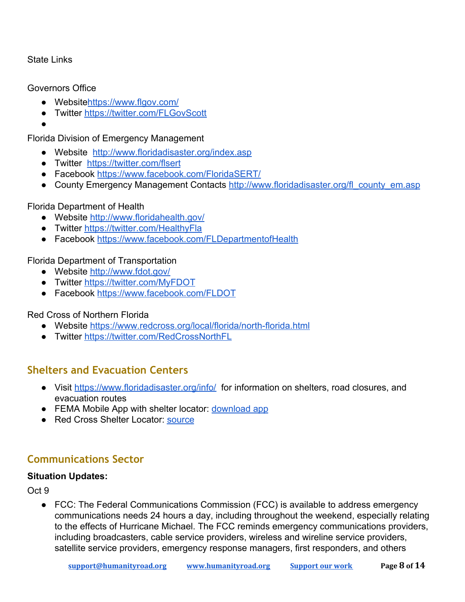### State Links

### Governors Office

- Website<https://www.flgov.com/>
- Twitter<https://twitter.com/FLGovScott>
- ●

Florida Division of Emergency Management

- Website <http://www.floridadisaster.org/index.asp>
- Twitter <https://twitter.com/flsert>
- Facebook<https://www.facebook.com/FloridaSERT/>
- County Emergency Management Contacts [http://www.floridadisaster.org/fl\\_county\\_em.asp](http://www.floridadisaster.org/fl_county_em.asp)

### Florida Department of Health

- Website<http://www.floridahealth.gov/>
- Twitter<https://twitter.com/HealthyFla>
- Facebook<https://www.facebook.com/FLDepartmentofHealth>

### Florida Department of Transportation

- Website<http://www.fdot.gov/>
- Twitter<https://twitter.com/MyFDOT>
- Facebook<https://www.facebook.com/FLDOT>

### Red Cross of Northern Florida

- Website<https://www.redcross.org/local/florida/north-florida.html>
- Twitter<https://twitter.com/RedCrossNorthFL>

## <span id="page-7-0"></span>**Shelters and Evacuation Centers**

- **●** Visit <https://www.floridadisaster.org/info/>for information on shelters, road closures, and evacuation routes
- FEMA Mobile App with shelter locator: [download app](https://www.fema.gov/mobile-app)
- Red Cross Shelter Locator: [source](http://www.redcross.org/get-help/disaster-relief-and-recovery-services/find-an-open-shelter?utm_source=arctwitter&utm_medium=social&utm_campaign=harvey)

# <span id="page-7-1"></span>**Communications Sector**

### **Situation Updates:**

Oct 9

● FCC: The Federal Communications Commission (FCC) is available to address emergency communications needs 24 hours a day, including throughout the weekend, especially relating to the effects of Hurricane Michael. The FCC reminds emergency communications providers, including broadcasters, cable service providers, wireless and wireline service providers, satellite service providers, emergency response managers, first responders, and others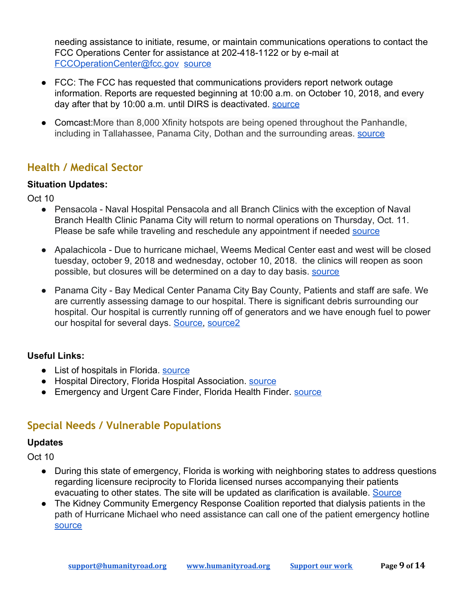needing assistance to initiate, resume, or maintain communications operations to contact the FCC Operations Center for assistance at 202-418-1122 or by e-mail at [FCCOperationCenter@fcc.gov](mailto:FCCOperationCenter@fcc.gov) [source](https://www.fcc.gov/document/fcc-assistance-hurricane-michael-emergencies-available-247)

- FCC: The FCC has requested that communications providers report network outage information. Reports are requested beginning at 10:00 a.m. on October 10, 2018, and every day after that by 10:00 a.m. until DIRS is deactivated. [source](https://www.fcc.gov/document/fcc-activates-disaster-information-reporting-hurricane-michael)
- Comcast: More than 8,000 Xfinity hotspots are being opened throughout the Panhandle, including in Tallahassee, Panama City, Dothan and the surrounding areas. **Source**

## <span id="page-8-0"></span>**Health / Medical Sector**

### **Situation Updates:**

Oct 10

- Pensacola Naval Hospital Pensacola and all Branch Clinics with the exception of Naval Branch Health Clinic Panama City will return to normal operations on Thursday, Oct. 11. Please be safe while traveling and reschedule any appointment if needed [source](https://twitter.com/NAVHOSPPCOLA/status/1050116590430248961)
- Apalachicola Due to hurricane michael, Weems Medical Center east and west will be closed tuesday, october 9, 2018 and wednesday, october 10, 2018. the clinics will reopen as soon possible, but closures will be determined on a day to day basis. [source](http://www.weemsmemorial.com/)
- Panama City Bay Medical Center Panama City Bay County, Patients and staff are safe. We are currently assessing damage to our hospital. There is significant debris surrounding our hospital. Our hospital is currently running off of generators and we have enough fuel to power our hospital for several days. [Source,](https://twitter.com/baymedicalctr/status/1050088627424903170) [source2](https://twitter.com/baymedicalctr/status/1050095695569539072)

## **Useful Links:**

- List of hospitals in Florida. [source](https://en.wikipedia.org/wiki/List_of_hospitals_in_Florida)
- Hospital Directory, Florida Hospital Association, [source](http://www.fha.org/reports-and-resources/hospital-directory.aspx)
- Emergency and Urgent Care Finder, Florida Health Finder. [source](http://www.floridahealthfinder.gov/reports-guides/urgent-care-guide.aspx)

# <span id="page-8-1"></span>**Special Needs / Vulnerable Populations**

### **Updates**

- During this state of emergency, Florida is working with neighboring states to address questions regarding licensure reciprocity to Florida licensed nurses accompanying their patients evacuating to other states. The site will be updated as clarification is available. [Source](https://ahca.myflorida.com/MCHQ/Emergency_Activities/michael_2018.shtml)
- The Kidney Community Emergency Response Coalition reported that dialysis patients in the path of Hurricane Michael who need assistance can call one of the patient emergency hotline [source](https://twitter.com/KCERprogram/statuses/1050132634620301312)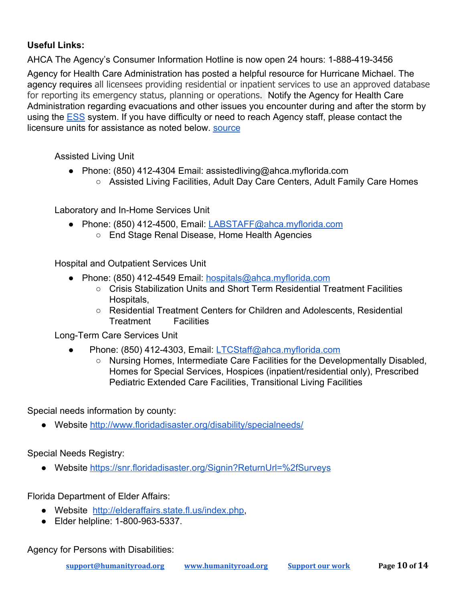### **Useful Links:**

AHCA The Agency's Consumer Information Hotline is now open 24 hours: 1-888-419-3456

Agency for Health Care Administration has posted a helpful resource for Hurricane Michael. The agency requires all licensees providing residential or inpatient services to use an approved database for reporting its emergency status, planning or operations. Notify the Agency for Health Care Administration regarding evacuations and other issues you encounter during and after the storm by using the [ESS](https://apps.ahca.myflorida.com/Ess/) system. If you have difficulty or need to reach Agency staff, please contact the licensure units for assistance as noted below. [source](https://ahca.myflorida.com/MCHQ/Emergency_Activities/michael_2018.shtml)

Assisted Living Unit

- Phone: (850) 412-4304 Email: assistedliving@ahca.myflorida.com
	- Assisted Living Facilities, Adult Day Care Centers, Adult Family Care Homes

Laboratory and In-Home Services Unit

- Phone: (850) 412-4500, Email: [LABSTAFF@ahca.myflorida.com](mailto:LABSTAFF@ahca.myflorida.com)
	- End Stage Renal Disease, Home Health Agencies

Hospital and Outpatient Services Unit

- Phone: (850) 412-4549 Email: [hospitals@ahca.myflorida.com](mailto:hospitals@ahca.myflorida.com)
	- Crisis Stabilization Units and Short Term Residential Treatment Facilities Hospitals,
	- Residential Treatment Centers for Children and Adolescents, Residential Treatment Facilities

Long-Term Care Services Unit

- Phone: (850) 412-4303, Email: [LTCStaff@ahca.myflorida.com](mailto:LTCStaff@ahca.myflorida.com)
	- Nursing Homes, Intermediate Care Facilities for the Developmentally Disabled, Homes for Special Services, Hospices (inpatient/residential only), Prescribed Pediatric Extended Care Facilities, Transitional Living Facilities

Special needs information by county:

● Website<http://www.floridadisaster.org/disability/specialneeds/>

Special Needs Registry:

● Website<https://snr.floridadisaster.org/Signin?ReturnUrl=%2fSurveys>

Florida Department of Elder Affairs:

- Website [http://elderaffairs.state.fl.us/index.php,](http://elderaffairs.state.fl.us/index.php)
- Elder helpline: 1-800-963-5337.

Agency for Persons with Disabilities: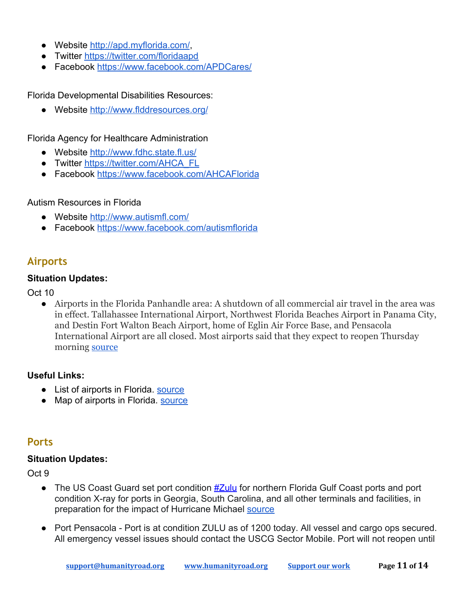- Website<http://apd.myflorida.com/>
- Twitter<https://twitter.com/floridaapd>
- Facebook<https://www.facebook.com/APDCares/>

Florida Developmental Disabilities Resources:

● Website<http://www.flddresources.org/>

Florida Agency for Healthcare Administration

- Website<http://www.fdhc.state.fl.us/>
- Twitter [https://twitter.com/AHCA\\_FL](https://twitter.com/AHCA_FL)
- Facebook<https://www.facebook.com/AHCAFlorida>

### Autism Resources in Florida

- Website<http://www.autismfl.com/>
- Facebook<https://www.facebook.com/autismflorida>

## <span id="page-10-0"></span>**Airports**

### **Situation Updates:**

Oct 10

● Airports in the Florida Panhandle area: A shutdown of all commercial air travel in the area was in effect. Tallahassee International Airport, Northwest Florida Beaches Airport in Panama City, and Destin Fort Walton Beach Airport, home of Eglin Air Force Base, and Pensacola International Airport are all closed. Most airports said that they expect to reopen Thursday morning [source](https://www.nytimes.com/2018/10/10/travel/hurricane-michael-travel-florida.html?smtyp=cur&smid=tw-nytimestravel)

### **Useful Links:**

- List of airports in Florida. [source](https://en.wikipedia.org/wiki/List_of_airports_in_Florida)
- <span id="page-10-1"></span>● Map of airports in Florida. [source](http://ourairports.com/countries/US/FL/)

## **Ports**

### **Situation Updates:**

- **•** The US Coast Guard set port condition  $\frac{\#Zull}{l}$  for northern Florida Gulf Coast ports and port condition X-ray for ports in Georgia, South Carolina, and all other terminals and facilities, in preparation for the impact of Hurricane Michael [source](https://twitter.com/portstrategy/status/1050035953530736640)
- **●** Port Pensacola Port is at condition ZULU as of 1200 today. All vessel and cargo ops secured. All emergency vessel issues should contact the USCG Sector Mobile. Port will not reopen until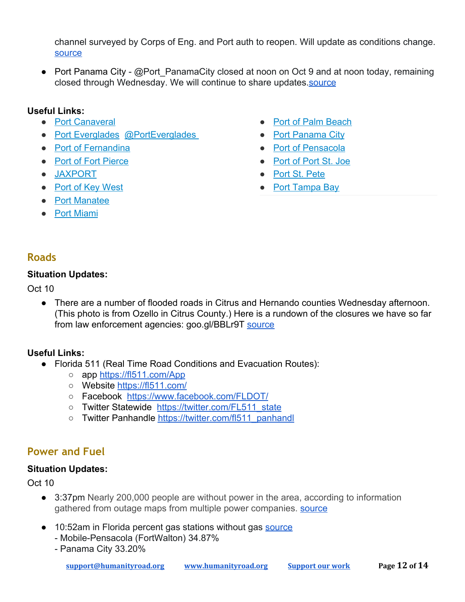channel surveyed by Corps of Eng. and Port auth to reopen. Will update as conditions change. [source](https://twitter.com/portofpensacola/status/1049777319689236480)

● Port Panama City - @Port PanamaCity closed at noon on Oct 9 and at noon today, remaining closed through Wednesday. We will continue to share updates[.source](https://twitter.com/FloridaPorts/status/1049674477632716800)

### **Useful Links:**

- [Port Canaveral](http://flaports.org/ports/port-canaveral/)
- [Port Everglades](http://flaports.org/ports/port-everglades/) @PortEverglades
- [Port of Fernandina](http://flaports.org/ports/port-of-fernandina/)
- [Port of Fort Pierce](http://flaports.org/ports/port-of-fort-pierce/)
- [JAXPORT](http://flaports.org/ports/jaxport/)
- [Port of Key West](http://flaports.org/ports/port-of-key-west/)
- [Port Manatee](http://flaports.org/ports/port-manatee/)
- [Port Miami](http://flaports.org/ports/portmiami/)
- [Port of Palm Beach](http://flaports.org/ports/port-of-palm-beach/)
- [Port Panama City](http://flaports.org/ports/port-panama-city/)
- [Port of Pensacola](http://flaports.org/ports/port-of-pensacola/)
- [Port of Port St. Joe](http://flaports.org/ports/port-of-port-st-joe/)
- [Port St. Pete](http://flaports.org/ports/port-of-st-petersburg/)
- [Port Tampa Bay](http://flaports.org/ports/port-tampa-bay/)

## <span id="page-11-0"></span>**Roads**

### **Situation Updates:**

Oct 10

● There are a number of flooded roads in Citrus and Hernando counties Wednesday afternoon. (This photo is from Ozello in Citrus County.) Here is a rundown of the closures we have so far from law enforcement agencies: goo.gl/BBLr9T [source](https://www.facebook.com/likebn9/photos/a.10150403637625192/10161015722840192/?type=3)

### **Useful Links:**

- Florida 511 (Real Time Road Conditions and Evacuation Routes):
	- app<https://fl511.com/App>
	- Website<https://fl511.com/>
	- Facebook <https://www.facebook.com/FLDOT/>
	- Twitter Statewide [https://twitter.com/FL511\\_state](https://twitter.com/FL511_state)
	- Twitter Panhandle [https://twitter.com/fl511\\_panhandl](https://twitter.com/fl511_panhandl)

## <span id="page-11-1"></span>**Power and Fuel**

### **Situation Updates:**

- 3:37pm Nearly 200,000 people are without power in the area, according to information gathered from outage maps from multiple power companies. [source](https://www.mypanhandle.com/news/hurricane-michael-power-outages-near-200-000/1513435023)
- 10:52am in Florida percent gas stations without gas [source](https://t.co/XXBOgtOFIs)
	- Mobile-Pensacola (FortWalton) 34.87%
	- Panama City 33.20%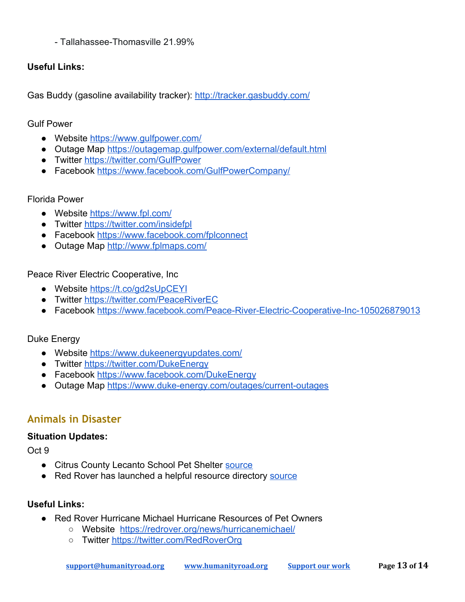- Tallahassee-Thomasville 21.99%

### **Useful Links:**

Gas Buddy (gasoline availability tracker):<http://tracker.gasbuddy.com/>

Gulf Power

- Website<https://www.gulfpower.com/>
- Outage Map <https://outagemap.gulfpower.com/external/default.html>
- Twitter<https://twitter.com/GulfPower>
- Facebook<https://www.facebook.com/GulfPowerCompany/>

### Florida Power

- Website<https://www.fpl.com/>
- Twitter<https://twitter.com/insidefpl>
- Facebook<https://www.facebook.com/fplconnect>
- Outage Map <http://www.fplmaps.com/>

Peace River Electric Cooperative, Inc

- Website<https://t.co/gd2sUpCEYI>
- Twitter<https://twitter.com/PeaceRiverEC>
- Facebook [https://www.facebook.com/Peace-River-Electric-Cooperative-Inc-105026879013](https://www.facebook.com/Peace-River-Electric-Cooperative-Inc-105026879013/?hc_ref=ARQqN0B2tfFSF_YM0SOKdV6KRNf45vDH8wTVO7cokfOIgU0nWnr6_-0TwQdEa7r7qqo&fref=nf&__xts__[0]=68.ARANgW-ilj_WsFKfAkKAsqZvHuEiBzHRQNxmzPxSmrZuWwI3skkOi7NBSlZO-oRJAdtiwdQI-FXwSvO9bWoedulzdEpgrTGFreHeqwu28iJo6gql8jDt44jzAx-MfT_rhJ-M_ql0ahscd1hSOBYIxwzPQSKVDAzgNpJ7K-Ua0KrBlFWrOX0lRfs&__tn__=kC-R)

### Duke Energy

- Website<https://www.dukeenergyupdates.com/>
- Twitter<https://twitter.com/DukeEnergy>
- Facebook<https://www.facebook.com/DukeEnergy>
- Outage Map <https://www.duke-energy.com/outages/current-outages>

## <span id="page-12-0"></span>**Animals in Disaster**

### **Situation Updates:**

Oct 9

- Citrus County Lecanto School Pet Shelter [source](https://www.facebook.com/akcreunite/photos/a.130513006976775/2298305443530843/?type=3&eid=ARB_M46wdI07KFJ-h4nGGqEKePVsNXmdEcMmwdXKLA-C8z8JprKXyzmQcwPEYgY0PnUjWjHhsWDftGcj&__xts__%5B0%5D=68.ARCTS9i4RNmLMl8TWfcl6mZbYCkGi104SykuTfMgywJCxtbq5paPT-fFpISDE95JPfobauVRRADp5j2B3AmuijgD5aqQyvYy1cMK32H4XeRYkCsAQYqXt0G19_2Y7VQ6GNCv6I6yfDUj0WNyNXO_IgKjTYPgpW0AO94xRp5Z3Nnh1lsVnnDS-Q&__tn__=EEHH-R)
- Red Rover has launched a helpful re[source](https://redrover.org/news/hurricanemichael/) directory source

### **Useful Links:**

- Red Rover Hurricane Michael Hurricane Resources of Pet Owners
	- Website <https://redrover.org/news/hurricanemichael/>
	- o Twitter<https://twitter.com/RedRoverOrg>